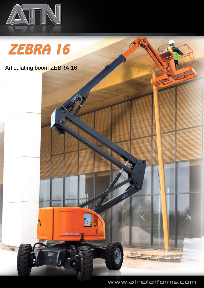

ZEBRA 16

## Articulating boom ZEBRA 16